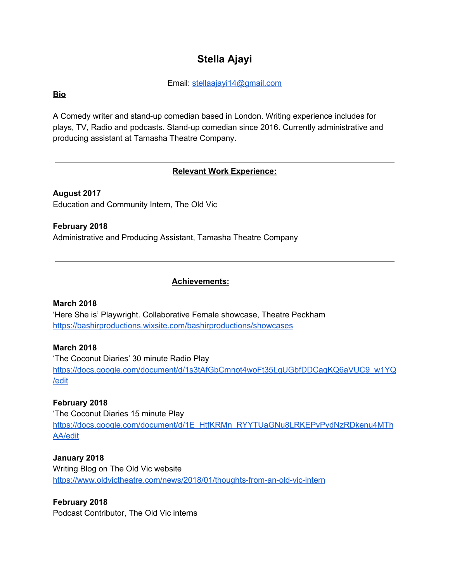# **Stella Ajayi**

Email: stellaajayi14@gmail.com

# **Bio**

A Comedy writer and stand-up comedian based in London. Writing experience includes for plays, TV, Radio and podcasts. Stand-up comedian since 2016. Currently administrative and producing assistant at Tamasha Theatre Company.

# **Relevant Work Experience:**

**August 2017** Education and Community Intern, The Old Vic

**February 2018** Administrative and Producing Assistant, Tamasha Theatre Company

# **Achievements:**

## **March 2018**

'Here She is' Playwright. Collaborative Female showcase, Theatre Peckham https://bashirproductions.wixsite.com/bashirproductions/showcases

# **March 2018**

'The Coconut Diaries' 30 minute Radio Play https://docs.google.com/document/d/1s3tAfGbCmnot4woFt35LgUGbfDDCaqKQ6aVUC9\_w1YQ /edit

## **February 2018**

'The Coconut Diaries 15 minute Play https://docs.google.com/document/d/1E\_HtfKRMn\_RYYTUaGNu8LRKEPyPydNzRDkenu4MTh AA/edit

**January 2018** Writing Blog on The Old Vic website https://www.oldvictheatre.com/news/2018/01/thoughts-from-an-old-vic-intern

**February 2018** Podcast Contributor, The Old Vic interns